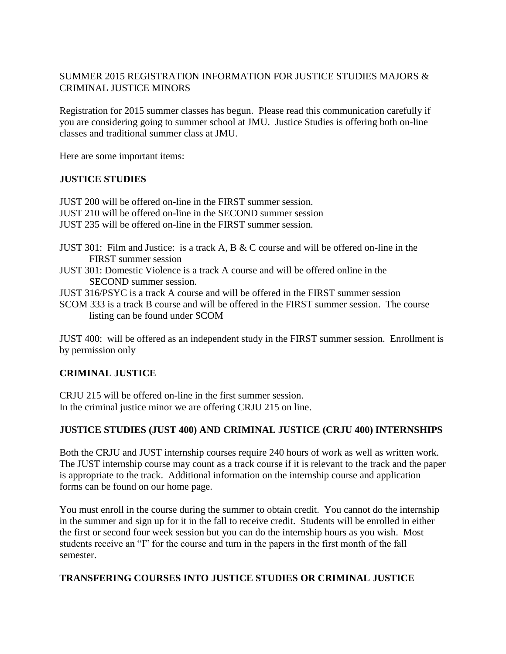# SUMMER 2015 REGISTRATION INFORMATION FOR JUSTICE STUDIES MAJORS & CRIMINAL JUSTICE MINORS

Registration for 2015 summer classes has begun. Please read this communication carefully if you are considering going to summer school at JMU. Justice Studies is offering both on-line classes and traditional summer class at JMU.

Here are some important items:

# **JUSTICE STUDIES**

JUST 200 will be offered on-line in the FIRST summer session. JUST 210 will be offered on-line in the SECOND summer session JUST 235 will be offered on-line in the FIRST summer session.

- JUST 301: Film and Justice: is a track A, B & C course and will be offered on-line in the FIRST summer session
- JUST 301: Domestic Violence is a track A course and will be offered online in the SECOND summer session.
- JUST 316/PSYC is a track A course and will be offered in the FIRST summer session
- SCOM 333 is a track B course and will be offered in the FIRST summer session. The course listing can be found under SCOM

JUST 400: will be offered as an independent study in the FIRST summer session. Enrollment is by permission only

# **CRIMINAL JUSTICE**

CRJU 215 will be offered on-line in the first summer session. In the criminal justice minor we are offering CRJU 215 on line.

# **JUSTICE STUDIES (JUST 400) AND CRIMINAL JUSTICE (CRJU 400) INTERNSHIPS**

Both the CRJU and JUST internship courses require 240 hours of work as well as written work. The JUST internship course may count as a track course if it is relevant to the track and the paper is appropriate to the track. Additional information on the internship course and application forms can be found on our home page.

You must enroll in the course during the summer to obtain credit. You cannot do the internship in the summer and sign up for it in the fall to receive credit. Students will be enrolled in either the first or second four week session but you can do the internship hours as you wish. Most students receive an "I" for the course and turn in the papers in the first month of the fall semester.

### **TRANSFERING COURSES INTO JUSTICE STUDIES OR CRIMINAL JUSTICE**